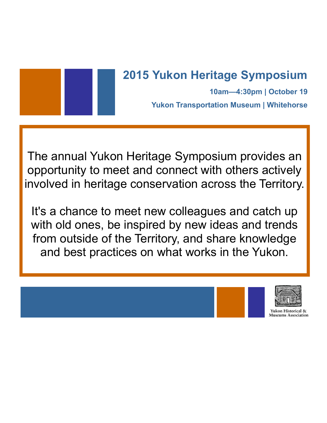

**10am—4:30pm | October 19 Yukon Transportation Museum | Whitehorse**

The annual Yukon Heritage Symposium provides an opportunity to meet and connect with others actively involved in heritage conservation across the Territory.

It's a chance to meet new colleagues and catch up with old ones, be inspired by new ideas and trends from outside of the Territory, and share knowledge and best practices on what works in the Yukon.

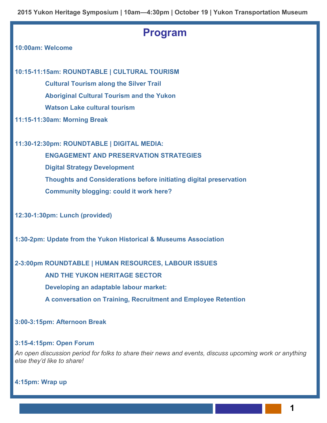**2015 Yukon Heritage Symposium | 10am—4:30pm | October 19 | Yukon Transportation Museum**

### **Program**

### **10:00am: Welcome**

**10:15-11:15am: ROUNDTABLE | CULTURAL TOURISM**

**Cultural Tourism along the Silver Trail Aboriginal Cultural Tourism and the Yukon Watson Lake cultural tourism** 

**11:15-11:30am: Morning Break**

**11:30-12:30pm: ROUNDTABLE | DIGITAL MEDIA:** 

**ENGAGEMENT AND PRESERVATION STRATEGIES Digital Strategy Development Thoughts and Considerations before initiating digital preservation Community blogging: could it work here?** 

**12:30-1:30pm: Lunch (provided)**

**1:30-2pm: Update from the Yukon Historical & Museums Association**

### **2-3:00pm ROUNDTABLE | HUMAN RESOURCES, LABOUR ISSUES**

**AND THE YUKON HERITAGE SECTOR**

**Developing an adaptable labour market:** 

**A conversation on Training, Recruitment and Employee Retention** 

### **3:00-3:15pm: Afternoon Break**

#### **3:15-4:15pm: Open Forum**

*An open discussion period for folks to share their news and events, discuss upcoming work or anything else they'd like to share!*

**4:15pm: Wrap up**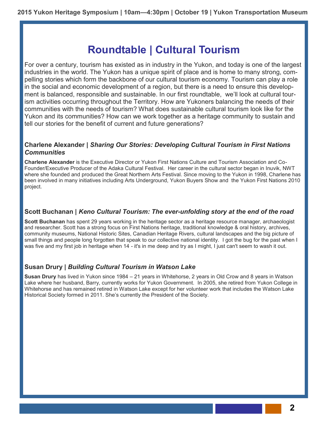## **Roundtable | Cultural Tourism**

For over a century, tourism has existed as in industry in the Yukon, and today is one of the largest industries in the world. The Yukon has a unique spirit of place and is home to many strong, compelling stories which form the backbone of our cultural tourism economy. Tourism can play a role in the social and economic development of a region, but there is a need to ensure this development is balanced, responsible and sustainable. In our first roundtable, we'll look at cultural tourism activities occurring throughout the Territory. How are Yukoners balancing the needs of their communities with the needs of tourism? What does sustainable cultural tourism look like for the Yukon and its communities? How can we work together as a heritage community to sustain and tell our stories for the benefit of current and future generations?

### **Charlene Alexander |** *Sharing Our Stories: Developing Cultural Tourism in First Nations Communities*

**Charlene Alexander** is the Executive Director or Yukon First Nations Culture and Tourism Association and Co-Founder/Executive Producer of the Adaka Cultural Festival. Her career in the cultural sector began in Inuvik, NWT where she founded and produced the Great Northern Arts Festival. Since moving to the Yukon in 1998, Charlene has been involved in many initiatives including Arts Underground, Yukon Buyers Show and the Yukon First Nations 2010 project.

### **Scott Buchanan |** *Keno Cultural Tourism: The ever-unfolding story at the end of the road*

**Scott Buchanan** has spent 29 years working in the heritage sector as a heritage resource manager, archaeologist and researcher. Scott has a strong focus on First Nations heritage, traditional knowledge & oral history, archives, community museums, National Historic Sites, Canadian Heritage Rivers, cultural landscapes and the big picture of small things and people long forgotten that speak to our collective national identity. I got the bug for the past when I was five and my first job in heritage when 14 - it's in me deep and try as I might, I just can't seem to wash it out.

### **Susan Drury |** *Building Cultural Tourism in Watson Lake*

**Susan Drury** has lived in Yukon since 1984 – 21 years in Whitehorse, 2 years in Old Crow and 8 years in Watson Lake where her husband, Barry, currently works for Yukon Government. In 2005, she retired from Yukon College in Whitehorse and has remained retired in Watson Lake except for her volunteer work that includes the Watson Lake Historical Society formed in 2011. She's currently the President of the Society.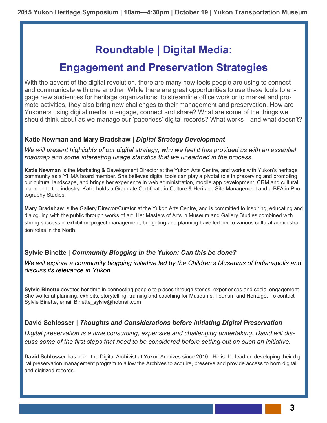## **Roundtable | Digital Media:**

## **Engagement and Preservation Strategies**

With the advent of the digital revolution, there are many new tools people are using to connect and communicate with one another. While there are great opportunities to use these tools to engage new audiences for heritage organizations, to streamline office work or to market and promote activities, they also bring new challenges to their management and preservation. How are Yukoners using digital media to engage, connect and share? What are some of the things we should think about as we manage our 'paperless' digital records? What works—and what doesn't?

### **Katie Newman and Mary Bradshaw |** *Digital Strategy Development*

We will present highlights of our digital strategy, why we feel it has provided us with an essential *roadmap and some interesting usage statistics that we unearthed in the process.* 

**Katie Newman** is the Marketing & Development Director at the Yukon Arts Centre, and works with Yukon's heritage community as a YHMA board member. She believes digital tools can play a pivotal role in preserving and promoting our cultural landscape, and brings her experience in web administration, mobile app development, CRM and cultural planning to the industry. Katie holds a Graduate Certificate in Culture & Heritage Site Management and a BFA in Photography Studies.

**Mary Bradshaw** is the Gallery Director/Curator at the Yukon Arts Centre, and is committed to inspiring, educating and dialoguing with the public through works of art. Her Masters of Arts in Museum and Gallery Studies combined with strong success in exhibition project management, budgeting and planning have led her to various cultural administration roles in the North.

### **Sylvie Binette |** *Community Blogging in the Yukon: Can this be done?*

We will explore a community blogging initiative led by the Children's Museums of Indianapolis and *discuss its relevance in Yukon.* 

**Sylvie Binette** devotes her time in connecting people to places through stories, experiences and social engagement. She works at planning, exhibits, storytelling, training and coaching for Museums, Tourism and Heritage. To contact Sylvie Binette, email Binette\_sylvie@hotmail.com

### **David Schlosser |** *Thoughts and Considerations before initiating Digital Preservation*

*Digital preservation is a time consuming, expensive and challenging undertaking. David will discuss some of the first steps that need to be considered before setting out on such an initiative.* 

**David Schlosser** has been the Digital Archivist at Yukon Archives since 2010. He is the lead on developing their digital preservation management program to allow the Archives to acquire, preserve and provide access to born digital and digitized records.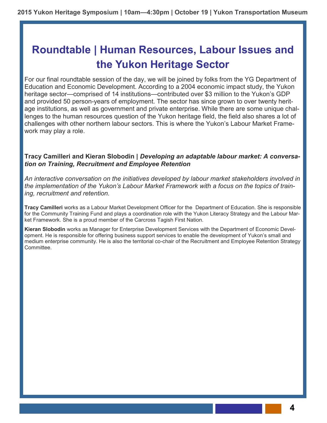# **Roundtable | Human Resources, Labour Issues and the Yukon Heritage Sector**

For our final roundtable session of the day, we will be joined by folks from the YG Department of Education and Economic Development. According to a 2004 economic impact study, the Yukon heritage sector—comprised of 14 institutions—contributed over \$3 million to the Yukon's GDP and provided 50 person-years of employment. The sector has since grown to over twenty heritage institutions, as well as government and private enterprise. While there are some unique challenges to the human resources question of the Yukon heritage field, the field also shares a lot of challenges with other northern labour sectors. This is where the Yukon's Labour Market Framework may play a role.

### **Tracy Camilleri and Kieran Slobodin |** *Developing an adaptable labour market: A conversation on Training, Recruitment and Employee Retention*

*An interactive conversation on the initiatives developed by labour market stakeholders involved in the implementation of the Yukon's Labour Market Framework with a focus on the topics of training, recruitment and retention.*

**Tracy Camilleri** works as a Labour Market Development Officer for the Department of Education. She is responsible for the Community Training Fund and plays a coordination role with the Yukon Literacy Strategy and the Labour Market Framework. She is a proud member of the Carcross Tagish First Nation.

**Kieran Slobodin** works as Manager for Enterprise Development Services with the Department of Economic Development. He is responsible for offering business support services to enable the development of Yukon's small and medium enterprise community. He is also the territorial co-chair of the Recruitment and Employee Retention Strategy Committee.